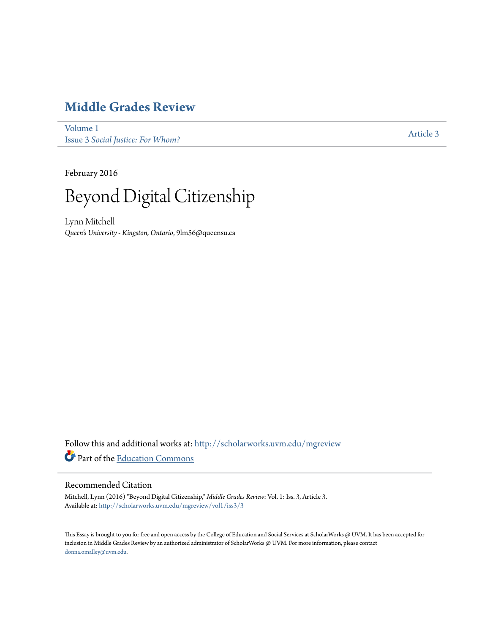# **[Middle Grades Review](http://scholarworks.uvm.edu/mgreview?utm_source=scholarworks.uvm.edu%2Fmgreview%2Fvol1%2Fiss3%2F3&utm_medium=PDF&utm_campaign=PDFCoverPages)**

[Volume 1](http://scholarworks.uvm.edu/mgreview/vol1?utm_source=scholarworks.uvm.edu%2Fmgreview%2Fvol1%2Fiss3%2F3&utm_medium=PDF&utm_campaign=PDFCoverPages) Issue 3 *[Social Justice: For Whom?](http://scholarworks.uvm.edu/mgreview/vol1/iss3?utm_source=scholarworks.uvm.edu%2Fmgreview%2Fvol1%2Fiss3%2F3&utm_medium=PDF&utm_campaign=PDFCoverPages)*

[Article 3](http://scholarworks.uvm.edu/mgreview/vol1/iss3/3?utm_source=scholarworks.uvm.edu%2Fmgreview%2Fvol1%2Fiss3%2F3&utm_medium=PDF&utm_campaign=PDFCoverPages)

February 2016



Lynn Mitchell *Queen's University - Kingston, Ontario*, 9lm56@queensu.ca

Follow this and additional works at: [http://scholarworks.uvm.edu/mgreview](http://scholarworks.uvm.edu/mgreview?utm_source=scholarworks.uvm.edu%2Fmgreview%2Fvol1%2Fiss3%2F3&utm_medium=PDF&utm_campaign=PDFCoverPages) Part of the [Education Commons](http://network.bepress.com/hgg/discipline/784?utm_source=scholarworks.uvm.edu%2Fmgreview%2Fvol1%2Fiss3%2F3&utm_medium=PDF&utm_campaign=PDFCoverPages)

## Recommended Citation

Mitchell, Lynn (2016) "Beyond Digital Citizenship," *Middle Grades Review*: Vol. 1: Iss. 3, Article 3. Available at: [http://scholarworks.uvm.edu/mgreview/vol1/iss3/3](http://scholarworks.uvm.edu/mgreview/vol1/iss3/3?utm_source=scholarworks.uvm.edu%2Fmgreview%2Fvol1%2Fiss3%2F3&utm_medium=PDF&utm_campaign=PDFCoverPages)

This Essay is brought to you for free and open access by the College of Education and Social Services at ScholarWorks @ UVM. It has been accepted for inclusion in Middle Grades Review by an authorized administrator of ScholarWorks @ UVM. For more information, please contact [donna.omalley@uvm.edu](mailto:donna.omalley@uvm.edu).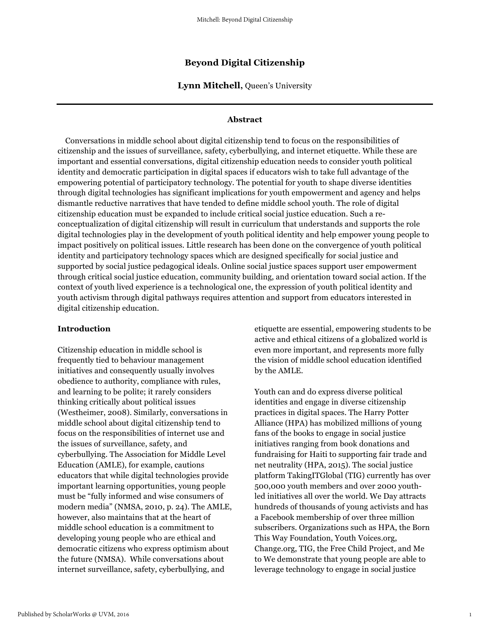## **Beyond Digital Citizenship**

**Lynn Mitchell,** Queen's University

### **Abstract**

 Conversations in middle school about digital citizenship tend to focus on the responsibilities of citizenship and the issues of surveillance, safety, cyberbullying, and internet etiquette. While these are important and essential conversations, digital citizenship education needs to consider youth political identity and democratic participation in digital spaces if educators wish to take full advantage of the empowering potential of participatory technology. The potential for youth to shape diverse identities through digital technologies has significant implications for youth empowerment and agency and helps dismantle reductive narratives that have tended to define middle school youth. The role of digital citizenship education must be expanded to include critical social justice education. Such a reconceptualization of digital citizenship will result in curriculum that understands and supports the role digital technologies play in the development of youth political identity and help empower young people to impact positively on political issues. Little research has been done on the convergence of youth political identity and participatory technology spaces which are designed specifically for social justice and supported by social justice pedagogical ideals. Online social justice spaces support user empowerment through critical social justice education, community building, and orientation toward social action. If the context of youth lived experience is a technological one, the expression of youth political identity and youth activism through digital pathways requires attention and support from educators interested in digital citizenship education.

#### **Introduction**

Citizenship education in middle school is frequently tied to behaviour management initiatives and consequently usually involves obedience to authority, compliance with rules, and learning to be polite; it rarely considers thinking critically about political issues (Westheimer, 2008). Similarly, conversations in middle school about digital citizenship tend to focus on the responsibilities of internet use and the issues of surveillance, safety, and cyberbullying. The Association for Middle Level Education (AMLE), for example, cautions educators that while digital technologies provide important learning opportunities, young people must be "fully informed and wise consumers of modern media" (NMSA, 2010, p. 24). The AMLE, however, also maintains that at the heart of middle school education is a commitment to developing young people who are ethical and democratic citizens who express optimism about the future (NMSA). While conversations about internet surveillance, safety, cyberbullying, and

etiquette are essential, empowering students to be active and ethical citizens of a globalized world is even more important, and represents more fully the vision of middle school education identified by the AMLE.

Youth can and do express diverse political identities and engage in diverse citizenship practices in digital spaces. The Harry Potter Alliance (HPA) has mobilized millions of young fans of the books to engage in social justice initiatives ranging from book donations and fundraising for Haiti to supporting fair trade and net neutrality (HPA, 2015). The social justice platform TakingITGlobal (TIG) currently has over 500,000 youth members and over 2000 youthled initiatives all over the world. We Day attracts hundreds of thousands of young activists and has a Facebook membership of over three million subscribers. Organizations such as HPA, the Born This Way Foundation, Youth Voices.org, Change.org, TIG, the Free Child Project, and Me to We demonstrate that young people are able to leverage technology to engage in social justice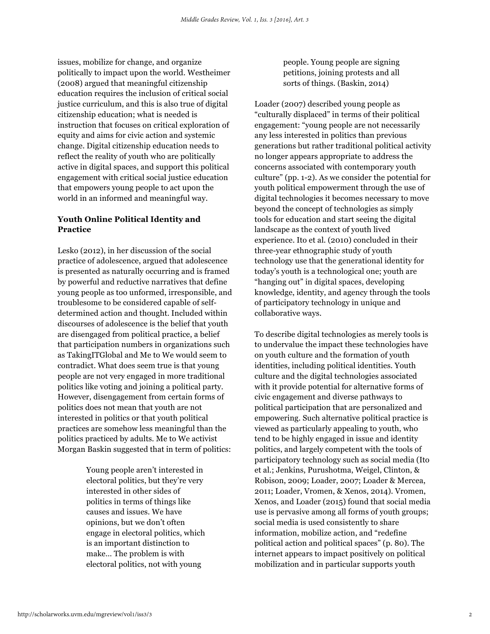issues, mobilize for change, and organize politically to impact upon the world. Westheimer (2008) argued that meaningful citizenship education requires the inclusion of critical social justice curriculum, and this is also true of digital citizenship education; what is needed is instruction that focuses on critical exploration of equity and aims for civic action and systemic change. Digital citizenship education needs to reflect the reality of youth who are politically active in digital spaces, and support this political engagement with critical social justice education that empowers young people to act upon the world in an informed and meaningful way.

## **Youth Online Political Identity and Practice**

Lesko (2012), in her discussion of the social practice of adolescence, argued that adolescence is presented as naturally occurring and is framed by powerful and reductive narratives that define young people as too unformed, irresponsible, and troublesome to be considered capable of selfdetermined action and thought. Included within discourses of adolescence is the belief that youth are disengaged from political practice, a belief that participation numbers in organizations such as TakingITGlobal and Me to We would seem to contradict. What does seem true is that young people are not very engaged in more traditional politics like voting and joining a political party. However, disengagement from certain forms of politics does not mean that youth are not interested in politics or that youth political practices are somehow less meaningful than the politics practiced by adults. Me to We activist Morgan Baskin suggested that in term of politics:

> Young people aren't interested in electoral politics, but they're very interested in other sides of politics in terms of things like causes and issues. We have opinions, but we don't often engage in electoral politics, which is an important distinction to make… The problem is with electoral politics, not with young

people. Young people are signing petitions, joining protests and all sorts of things. (Baskin, 2014)

Loader (2007) described young people as "culturally displaced" in terms of their political engagement: "young people are not necessarily any less interested in politics than previous generations but rather traditional political activity no longer appears appropriate to address the concerns associated with contemporary youth culture" (pp. 1-2). As we consider the potential for youth political empowerment through the use of digital technologies it becomes necessary to move beyond the concept of technologies as simply tools for education and start seeing the digital landscape as the context of youth lived experience. Ito et al. (2010) concluded in their three-year ethnographic study of youth technology use that the generational identity for today's youth is a technological one; youth are "hanging out" in digital spaces, developing knowledge, identity, and agency through the tools of participatory technology in unique and collaborative ways.

To describe digital technologies as merely tools is to undervalue the impact these technologies have on youth culture and the formation of youth identities, including political identities. Youth culture and the digital technologies associated with it provide potential for alternative forms of civic engagement and diverse pathways to political participation that are personalized and empowering. Such alternative political practice is viewed as particularly appealing to youth, who tend to be highly engaged in issue and identity politics, and largely competent with the tools of participatory technology such as social media (Ito et al.; Jenkins, Purushotma, Weigel, Clinton, & Robison, 2009; Loader, 2007; Loader & Mercea, 2011; Loader, Vromen, & Xenos, 2014). Vromen, Xenos, and Loader (2015) found that social media use is pervasive among all forms of youth groups; social media is used consistently to share information, mobilize action, and "redefine political action and political spaces" (p. 80). The internet appears to impact positively on political mobilization and in particular supports youth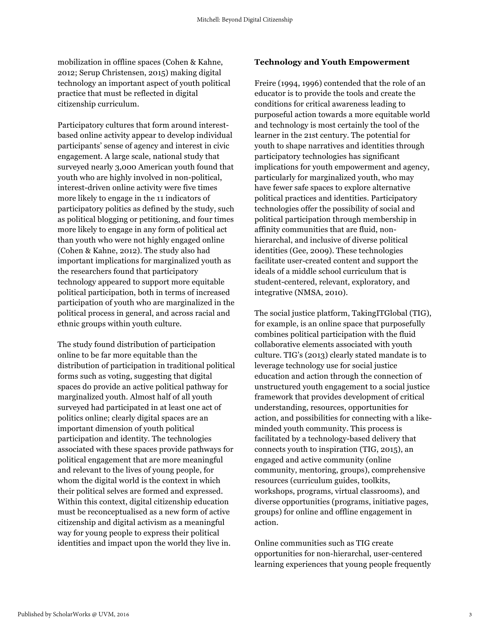mobilization in offline spaces (Cohen & Kahne, 2012; Serup Christensen, 2015) making digital technology an important aspect of youth political practice that must be reflected in digital citizenship curriculum.

Participatory cultures that form around interestbased online activity appear to develop individual participants' sense of agency and interest in civic engagement. A large scale, national study that surveyed nearly 3,000 American youth found that youth who are highly involved in non-political, interest-driven online activity were five times more likely to engage in the 11 indicators of participatory politics as defined by the study, such as political blogging or petitioning, and four times more likely to engage in any form of political act than youth who were not highly engaged online (Cohen & Kahne, 2012). The study also had important implications for marginalized youth as the researchers found that participatory technology appeared to support more equitable political participation, both in terms of increased participation of youth who are marginalized in the political process in general, and across racial and ethnic groups within youth culture.

The study found distribution of participation online to be far more equitable than the distribution of participation in traditional political forms such as voting, suggesting that digital spaces do provide an active political pathway for marginalized youth. Almost half of all youth surveyed had participated in at least one act of politics online; clearly digital spaces are an important dimension of youth political participation and identity. The technologies associated with these spaces provide pathways for political engagement that are more meaningful and relevant to the lives of young people, for whom the digital world is the context in which their political selves are formed and expressed. Within this context, digital citizenship education must be reconceptualised as a new form of active citizenship and digital activism as a meaningful way for young people to express their political identities and impact upon the world they live in.

#### **Technology and Youth Empowerment**

Freire (1994, 1996) contended that the role of an educator is to provide the tools and create the conditions for critical awareness leading to purposeful action towards a more equitable world and technology is most certainly the tool of the learner in the 21st century. The potential for youth to shape narratives and identities through participatory technologies has significant implications for youth empowerment and agency, particularly for marginalized youth, who may have fewer safe spaces to explore alternative political practices and identities. Participatory technologies offer the possibility of social and political participation through membership in affinity communities that are fluid, nonhierarchal, and inclusive of diverse political identities (Gee, 2009). These technologies facilitate user-created content and support the ideals of a middle school curriculum that is student-centered, relevant, exploratory, and integrative (NMSA, 2010).

The social justice platform, TakingITGlobal (TIG), for example, is an online space that purposefully combines political participation with the fluid collaborative elements associated with youth culture. TIG's (2013) clearly stated mandate is to leverage technology use for social justice education and action through the connection of unstructured youth engagement to a social justice framework that provides development of critical understanding, resources, opportunities for action, and possibilities for connecting with a likeminded youth community. This process is facilitated by a technology-based delivery that connects youth to inspiration (TIG, 2015), an engaged and active community (online community, mentoring, groups), comprehensive resources (curriculum guides, toolkits, workshops, programs, virtual classrooms), and diverse opportunities (programs, initiative pages, groups) for online and offline engagement in action.

Online communities such as TIG create opportunities for non-hierarchal, user-centered learning experiences that young people frequently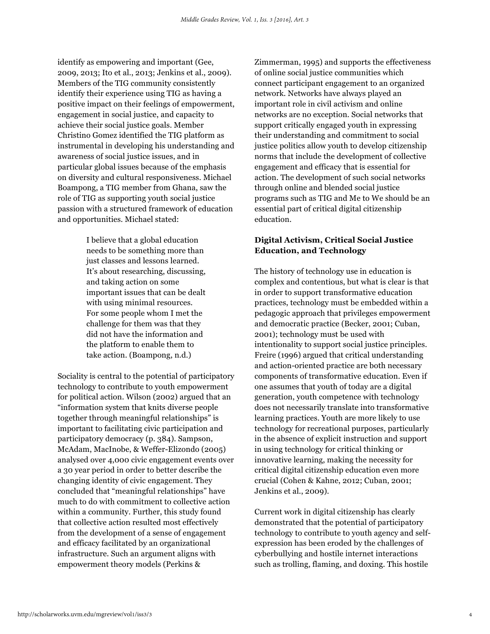identify as empowering and important (Gee, 2009, 2013; Ito et al., 2013; Jenkins et al., 2009). Members of the TIG community consistently identify their experience using TIG as having a positive impact on their feelings of empowerment, engagement in social justice, and capacity to achieve their social justice goals. Member Christino Gomez identified the TIG platform as instrumental in developing his understanding and awareness of social justice issues, and in particular global issues because of the emphasis on diversity and cultural responsiveness. Michael Boampong, a TIG member from Ghana, saw the role of TIG as supporting youth social justice passion with a structured framework of education and opportunities. Michael stated:

> I believe that a global education needs to be something more than just classes and lessons learned. It's about researching, discussing, and taking action on some important issues that can be dealt with using minimal resources. For some people whom I met the challenge for them was that they did not have the information and the platform to enable them to take action. (Boampong, n.d.)

Sociality is central to the potential of participatory technology to contribute to youth empowerment for political action. Wilson (2002) argued that an "information system that knits diverse people together through meaningful relationships" is important to facilitating civic participation and participatory democracy (p. 384). Sampson, McAdam, MacInobe, & Weffer-Elizondo (2005) analysed over 4,000 civic engagement events over a 30 year period in order to better describe the changing identity of civic engagement. They concluded that "meaningful relationships" have much to do with commitment to collective action within a community. Further, this study found that collective action resulted most effectively from the development of a sense of engagement and efficacy facilitated by an organizational infrastructure. Such an argument aligns with empowerment theory models (Perkins &

Zimmerman, 1995) and supports the effectiveness of online social justice communities which connect participant engagement to an organized network. Networks have always played an important role in civil activism and online networks are no exception. Social networks that support critically engaged youth in expressing their understanding and commitment to social justice politics allow youth to develop citizenship norms that include the development of collective engagement and efficacy that is essential for action. The development of such social networks through online and blended social justice programs such as TIG and Me to We should be an essential part of critical digital citizenship education.

## **Digital Activism, Critical Social Justice Education, and Technology**

The history of technology use in education is complex and contentious, but what is clear is that in order to support transformative education practices, technology must be embedded within a pedagogic approach that privileges empowerment and democratic practice (Becker, 2001; Cuban, 2001); technology must be used with intentionality to support social justice principles. Freire (1996) argued that critical understanding and action-oriented practice are both necessary components of transformative education. Even if one assumes that youth of today are a digital generation, youth competence with technology does not necessarily translate into transformative learning practices. Youth are more likely to use technology for recreational purposes, particularly in the absence of explicit instruction and support in using technology for critical thinking or innovative learning, making the necessity for critical digital citizenship education even more crucial (Cohen & Kahne, 2012; Cuban, 2001; Jenkins et al., 2009).

Current work in digital citizenship has clearly demonstrated that the potential of participatory technology to contribute to youth agency and selfexpression has been eroded by the challenges of cyberbullying and hostile internet interactions such as trolling, flaming, and doxing. This hostile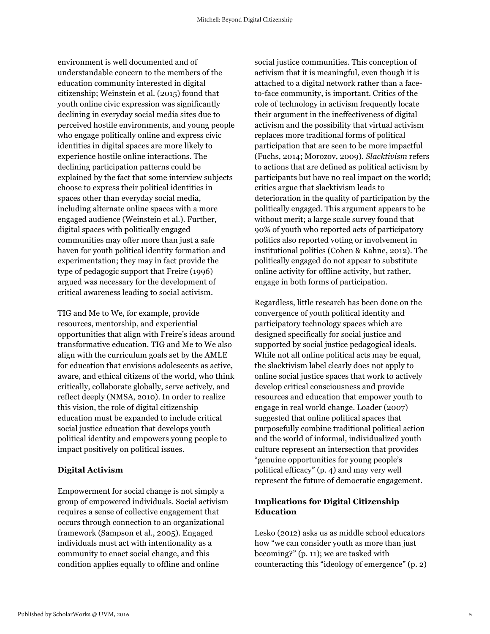environment is well documented and of understandable concern to the members of the education community interested in digital citizenship; Weinstein et al. (2015) found that youth online civic expression was significantly declining in everyday social media sites due to perceived hostile environments, and young people who engage politically online and express civic identities in digital spaces are more likely to experience hostile online interactions. The declining participation patterns could be explained by the fact that some interview subjects choose to express their political identities in spaces other than everyday social media, including alternate online spaces with a more engaged audience (Weinstein et al.). Further, digital spaces with politically engaged communities may offer more than just a safe haven for youth political identity formation and experimentation; they may in fact provide the type of pedagogic support that Freire (1996) argued was necessary for the development of critical awareness leading to social activism.

TIG and Me to We, for example, provide resources, mentorship, and experiential opportunities that align with Freire's ideas around transformative education. TIG and Me to We also align with the curriculum goals set by the AMLE for education that envisions adolescents as active, aware, and ethical citizens of the world, who think critically, collaborate globally, serve actively, and reflect deeply (NMSA, 2010). In order to realize this vision, the role of digital citizenship education must be expanded to include critical social justice education that develops youth political identity and empowers young people to impact positively on political issues.

#### **Digital Activism**

Empowerment for social change is not simply a group of empowered individuals. Social activism requires a sense of collective engagement that occurs through connection to an organizational framework (Sampson et al., 2005). Engaged individuals must act with intentionality as a community to enact social change, and this condition applies equally to offline and online

social justice communities. This conception of activism that it is meaningful, even though it is attached to a digital network rather than a faceto-face community, is important. Critics of the role of technology in activism frequently locate their argument in the ineffectiveness of digital activism and the possibility that virtual activism replaces more traditional forms of political participation that are seen to be more impactful (Fuchs, 2014; Morozov, 2009). *Slacktivism* refers to actions that are defined as political activism by participants but have no real impact on the world; critics argue that slacktivism leads to deterioration in the quality of participation by the politically engaged. This argument appears to be without merit; a large scale survey found that 90% of youth who reported acts of participatory politics also reported voting or involvement in institutional politics (Cohen & Kahne, 2012). The politically engaged do not appear to substitute online activity for offline activity, but rather, engage in both forms of participation.

Regardless, little research has been done on the convergence of youth political identity and participatory technology spaces which are designed specifically for social justice and supported by social justice pedagogical ideals. While not all online political acts may be equal, the slacktivism label clearly does not apply to online social justice spaces that work to actively develop critical consciousness and provide resources and education that empower youth to engage in real world change. Loader (2007) suggested that online political spaces that purposefully combine traditional political action and the world of informal, individualized youth culture represent an intersection that provides "genuine opportunities for young people's political efficacy" (p. 4) and may very well represent the future of democratic engagement.

## **Implications for Digital Citizenship Education**

Lesko (2012) asks us as middle school educators how "we can consider youth as more than just becoming?" (p. 11); we are tasked with counteracting this "ideology of emergence" (p. 2)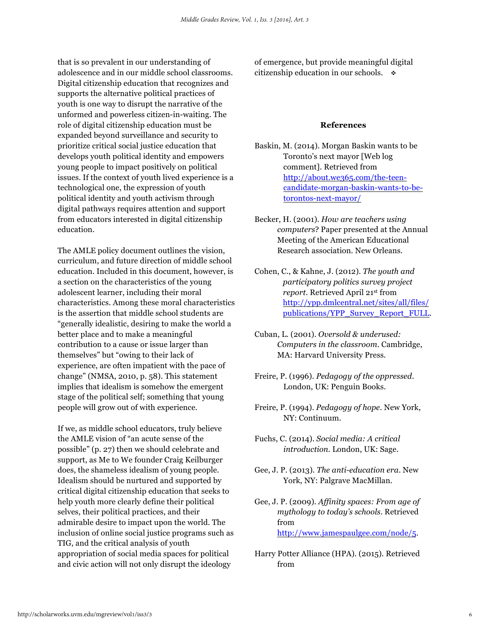that is so prevalent in our understanding of adolescence and in our middle school classrooms. Digital citizenship education that recognizes and supports the alternative political practices of youth is one way to disrupt the narrative of the unformed and powerless citizen-in-waiting. The role of digital citizenship education must be expanded beyond surveillance and security to prioritize critical social justice education that develops youth political identity and empowers young people to impact positively on political issues. If the context of youth lived experience is a technological one, the expression of youth political identity and youth activism through digital pathways requires attention and support from educators interested in digital citizenship education.

The AMLE policy document outlines the vision, curriculum, and future direction of middle school education. Included in this document, however, is a section on the characteristics of the young adolescent learner, including their moral characteristics. Among these moral characteristics is the assertion that middle school students are "generally idealistic, desiring to make the world a better place and to make a meaningful contribution to a cause or issue larger than themselves" but "owing to their lack of experience, are often impatient with the pace of change" (NMSA, 2010, p. 58). This statement implies that idealism is somehow the emergent stage of the political self; something that young people will grow out of with experience.

If we, as middle school educators, truly believe the AMLE vision of "an acute sense of the possible" (p. 27) then we should celebrate and support, as Me to We founder Craig Keilburger does, the shameless idealism of young people. Idealism should be nurtured and supported by critical digital citizenship education that seeks to help youth more clearly define their political selves, their political practices, and their admirable desire to impact upon the world. The inclusion of online social justice programs such as TIG, and the critical analysis of youth appropriation of social media spaces for political and civic action will not only disrupt the ideology

of emergence, but provide meaningful digital citizenship education in our schools.  $\bullet$ 

#### **References**

- Baskin, M. (2014). Morgan Baskin wants to be Toronto's next mayor [Web log comment]. Retrieved from http://about.we365.com/the-teencandidate-morgan-baskin-wants-to-betorontos-next-mayor/
- Becker, H. (2001). *How are teachers using computers*? Paper presented at the Annual Meeting of the American Educational Research association. New Orleans.
- Cohen, C., & Kahne, J. (2012). *The youth and participatory politics survey project report*. Retrieved April 21st from http://ypp.dmlcentral.net/sites/all/files/ publications/YPP\_Survey\_Report\_FULL.
- Cuban, L. (2001). *Oversold & underused: Computers in the classroom*. Cambridge, MA: Harvard University Press.
- Freire, P. (1996). *Pedagogy of the oppressed*. London, UK: Penguin Books.
- Freire, P. (1994). *Pedagogy of hope*. New York, NY: Continuum.
- Fuchs, C. (2014). *Social media: A critical introduction.* London, UK: Sage.
- Gee, J. P. (2013). *The anti-education era*. New York, NY: Palgrave MacMillan.
- Gee, J. P. (2009). *Affinity spaces: From age of mythology to today's schools*. Retrieved from http://www.jamespaulgee.com/node/5.
- Harry Potter Alliance (HPA). (2015). Retrieved from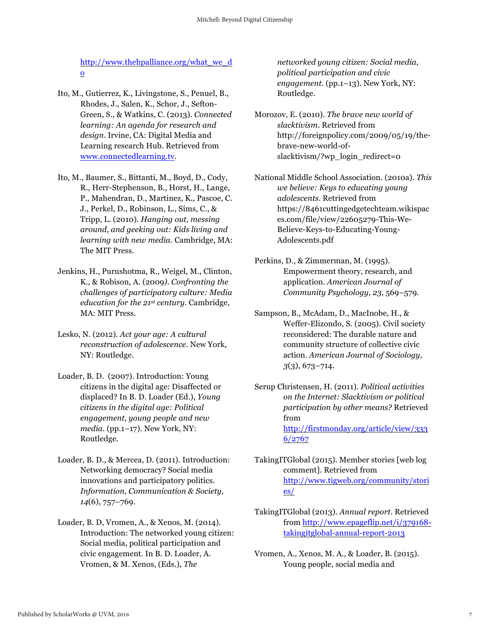http://www.thehpalliance.org/what\_we\_d o

- Ito, M., Gutierrez, K., Livingstone, S., Penuel, B., Rhodes, J., Salen, K., Schor, J., Sefton-Green, S., & Watkins, C. (2013). *Connected learning: An agenda for research and design*. Irvine, CA: Digital Media and Learning research Hub. Retrieved from www.connectedlearning.tv.
- Ito, M., Baumer, S., Bittanti, M., Boyd, D., Cody, R., Herr-Stephenson, B., Horst, H., Lange, P., Mahendran, D., Martinez, K., Pascoe, C. J., Perkel, D., Robinson, L., Sims, C., & Tripp, L. (2010). *Hanging out, messing around, and geeking out: Kids living and learning with new media.* Cambridge, MA: The MIT Press.
- Jenkins, H., Purushotma, R., Weigel, M., Clinton, K., & Robison, A. (2009*). Confronting the challenges of participatory culture: Media education for the 21st century*. Cambridge, MA: MIT Press.
- Lesko, N. (2012). *Act your age: A cultural reconstruction of adolescence*. New York, NY: Routledge.
- Loader, B. D. (2007). Introduction: Young citizens in the digital age: Disaffected or displaced? In B. D. Loader (Ed.), *Young citizens in the digital age: Political engagement, young people and new media.* (pp.1–17). New York, NY: Routledge.
- Loader, B. D., & Mercea, D. (2011). Introduction: Networking democracy? Social media innovations and participatory politics. *Information, Communication & Society, 14*(6), 757–769.
- Loader, B. D, Vromen, A., & Xenos, M. (2014). Introduction: The networked young citizen: Social media, political participation and civic engagement. In B. D. Loader, A. Vromen, & M. Xenos, (Eds.), *The*

*networked young citizen: Social media, political participation and civic*  engagement. (pp.1-13). New York, NY: Routledge.

- Morozov, E. (2010). *The brave new world of slacktivism*. Retrieved from http://foreignpolicy.com/2009/05/19/thebrave-new-world-ofslacktivism/?wp\_login\_redirect=0
- National Middle School Association. (2010a). *This we believe: Keys to educating young adolescents*. Retrieved from https://8461cuttingedgetechteam.wikispac es.com/file/view/22605279-This-We-Believe-Keys-to-Educating-Young-Adolescents.pdf
- Perkins, D., & Zimmerman, M. (1995). Empowerment theory, research, and application. *American Journal of Community Psychology, 23*, 569–579.
- Sampson, B., McAdam, D., MacInobe, H., & Weffer-Elizondo, S. (2005). Civil society reconsidered: The durable nature and community structure of collective civic action. *American Journal of Sociology, 3*(3), 673–714.
- Serup Christensen, H. (2011). *Political activities on the Internet: Slacktivism or political participation by other means?* Retrieved from http://firstmonday.org/article/view/333 6/2767
- TakingITGlobal (2015). Member stories [web log comment]. Retrieved from http://www.tigweb.org/community/stori es/
- TakingITGlobal (2013). *Annual report*. Retrieved from http://www.epageflip.net/i/379168 takingitglobal-annual-report-2013
- Vromen, A., Xenos, M. A., & Loader, B. (2015). Young people, social media and